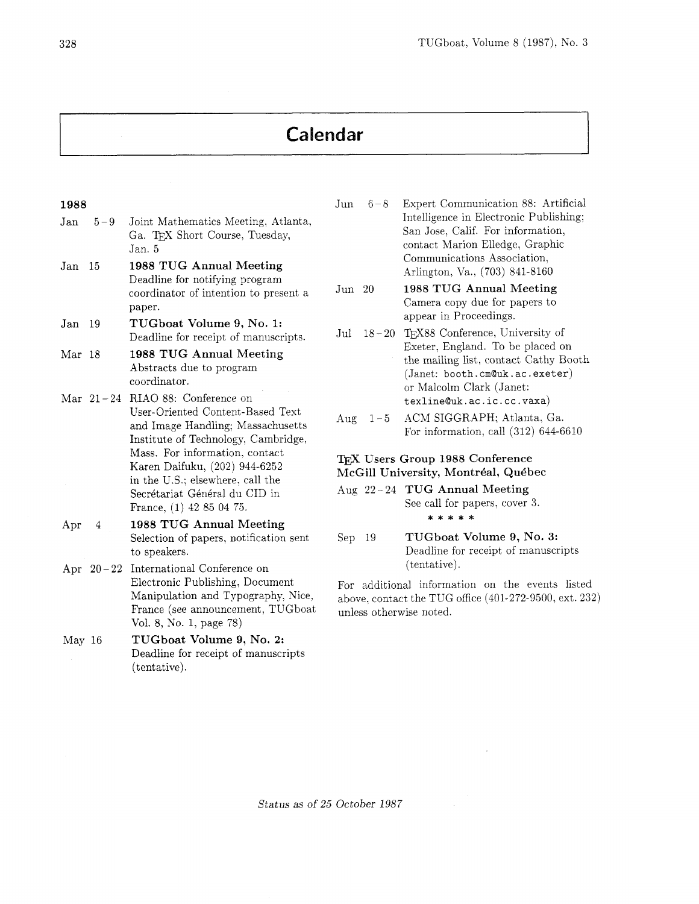# Calendar

### 1988

- Jan 5-9 Joint Mathematics Meeting, Atlanta, Ga. TFX Short Course, Tuesday, Jan. *5*
- Jan 15 1988 TUG Annual Meeting Deadline for notifying program coordinator of intention to present a paper.
- Jan 19 TUGboat Volume 9, No. 1: Deadline for receipt of manuscripts.
- Mar 18 1988 TUG Annual Meeting Abstracts due to program coordinator.
- Mar 21-24 RIAO 88: Conference on User-Oriented Content-Based Text and Image Handling: Massachusetts Institute of Technology, Cambridge, Mass. For information. contact Karen Daifuku, (202) 944-6252 in the US.; elsewhere. call the Secrétariat Général du CID in France, (1) 42 85 04 75.
- Apr 4 1988 TUG Annual Meeting Selection of papers. notification sent to speakers.
- Apr  $20-22$  International Conference on Electronic Publishing, Document Manipulation and Typography, Nice, France (see announcement, TUGboat Vol. 8, No. 1, page 78)
- May 16 TUGboat Volume 9, No. **2:**  Deadline for receipt of manuscripts (tentative).
- Jun 6-8 Expert Communication 88: Artificial Intelligence in Electronic Publishing; San Jose, Calif. For information, contact Marion Elledge, Graphic Communications Association, Arlington, Va., (703) 841-8160
- Jun 20 1988 TUG Annual Meeting Camera copy due for papers to appear in Proceedings.
- Jul 18-20 TFX88 Conference, University of Exeter, England. To be placed on the mailing list, contact Cathy Booth (Janet: booth. **cm@uk.** ac. exeter) or Malcolm Clark (Janet: **texlineQuk.ac.ic.cc.vaxa)**
- Aug 1-5 ACM SIGGRAPH; Atlanta, Ga. For information, call (312) 644-6610

## TEX Users Group 1988 Conference McGill University, Montréal, Québec

- Aug  $22 24$  TUG Annual Meeting See call for papers, cover 3. \* \* \* \* \*
	- Sep 19 TUGboat Volume 9, No. **3:**  Deadline for receipt of manuscripts (tentative).

For additional information on the events listed above. contact the TUG office (401-272-9500, ext. 232) unless otherwise noted.

Status as of 25 October 1987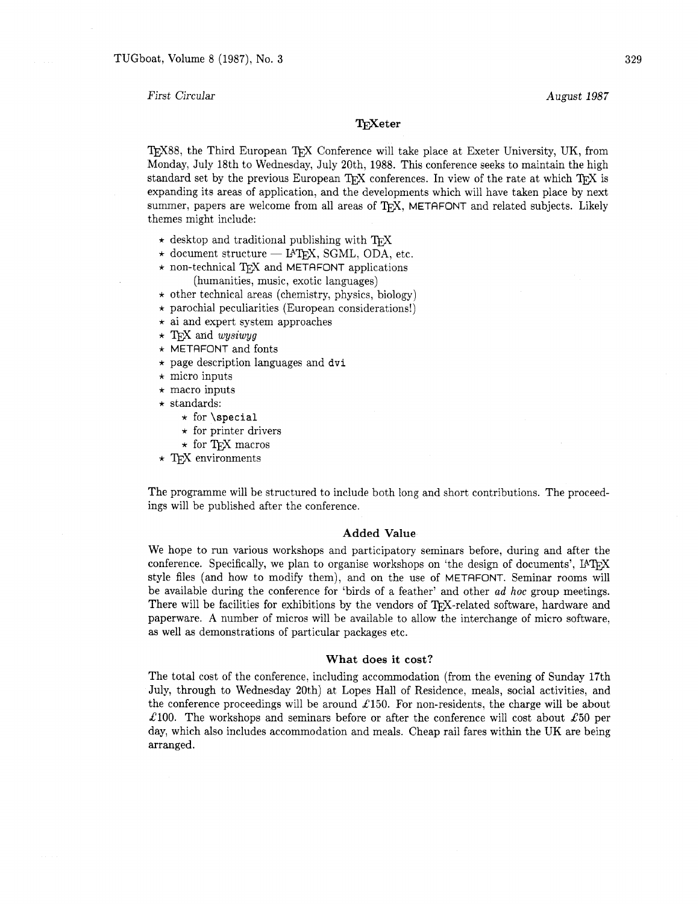First Circular

August 1987

## TrXeter

T<sub>F</sub>X88, the Third European T<sub>F</sub>X Conference will take place at Exeter University, UK, from Monday, July 18th to Wednesday, July 20th, 1988. This conference seeks to maintain the high standard set by the previous European TFX conferences. In view of the rate at which  $T_FX$  is expanding its areas of application, and the developments which will have taken place by next summer, papers are welcome from all areas of TFX, METAFONT and related subjects. Likely themes might include:

- $\star$  desktop and traditional publishing with T<sub>F</sub>X
- $\star$  document structure IATFX, SGML, ODA, etc.
- $\star$  non-technical TFX and METAFONT applications (humanities, music, exotic languages)
- $\star$  other technical areas (chemistry, physics, biology)
- $\star$  parochial peculiarities (European considerations!)
- $\star$  ai and expert system approaches
- $\star$  TFX and wysiwyg
- \* METRFONT and fonts
- $\star$  page description languages and dvi
- $\star$  micro inputs
- $\star$  macro inputs
- $\star$  standards:
	- $\star$  for \special
	- $\star$  for printer drivers
	- $\star$  for TFX macros
- $\star$  T<sub>E</sub>X environments

The programme will be structured to include both long and short contributions. The proceedings will be published after the conference.

### **Added Value**

We hope to run various workshops and participatory seminars before, during and after the conference. Specifically, we plan to organise workshops on 'the design of documents', style files (and how to modify them), and on the use of METAFONT. Seminar rooms will be available during the conference for 'birds of a feather' and other ad *hoc* group meetings. There will be facilities for exhibitions by the vendors of TFX-related software, hardware and paperware. A number of micros will be available to allow the interchange of micro software, as well as demonstrations of particular packages etc.

#### **What does it cost?**

The total cost of the conference, including accommodation (from the evening of Sunday 17th July, through to Wednesday 20th) at Lopes Hall of Residence, meals, social activities, and the conference proceedings will be around £150. For non-residents, the charge will be about £100. The workshops and seminars before or after the conference will cost about £50 per day, which also includes accommodation and meals. Cheap rail fares within the UK are being arranged.